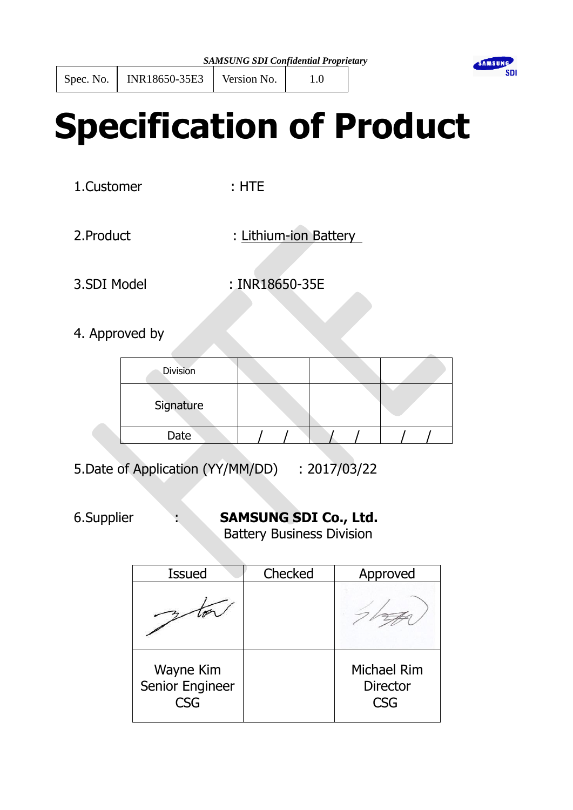

# **Specification of Product**

1.Customer : HTE

- 
- 2.Product : Lithium-ion Battery
- 

3.SDI Model : INR18650-35E

4. Approved by

| <b>Division</b> |  |  |
|-----------------|--|--|
| Signature       |  |  |
| Date            |  |  |

5.Date of Application (YY/MM/DD) : 2017/03/22

# 6.Supplier : **SAMSUNG SDI Co., Ltd.**

Battery Business Division

| <b>Issued</b>                | Checked | Approved                                     |
|------------------------------|---------|----------------------------------------------|
|                              |         |                                              |
| Wayne Kim<br>Senior Engineer |         | <b>Michael Rim</b><br><b>Director</b><br>rsg |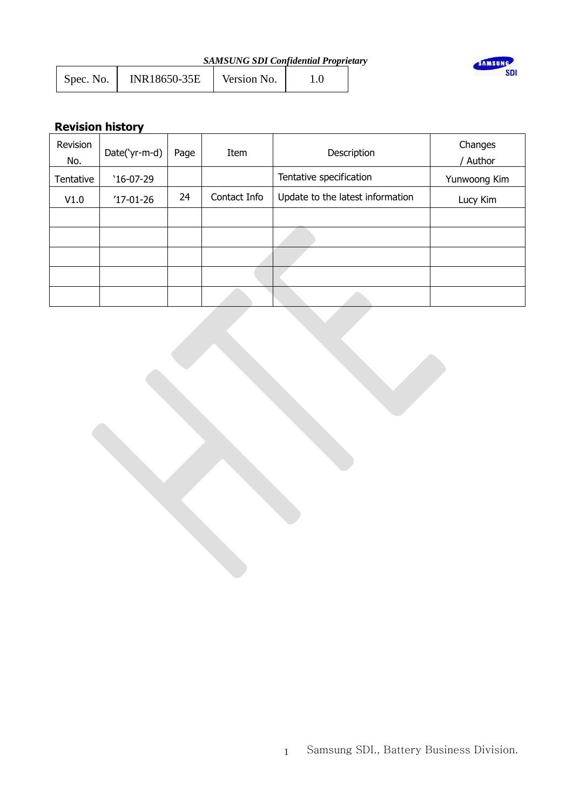| <b>SAMSUNG SDI Confidential Proprietary</b> |  |
|---------------------------------------------|--|
|---------------------------------------------|--|

| Spec. No. | INR18650-35E | Version No. |  |
|-----------|--------------|-------------|--|
|           |              |             |  |



# **Revision history**

| Revision<br>No. | Date('yr-m-d) | Page | Item         | Description                      | Changes<br>Author |
|-----------------|---------------|------|--------------|----------------------------------|-------------------|
| Tentative       | $'16-07-29$   |      |              | Tentative specification          | Yunwoong Kim      |
| V1.0            | $'17-01-26$   | 24   | Contact Info | Update to the latest information | Lucy Kim          |
|                 |               |      |              |                                  |                   |
|                 |               |      |              |                                  |                   |
|                 |               |      |              |                                  |                   |
|                 |               |      |              |                                  |                   |
|                 |               |      |              |                                  |                   |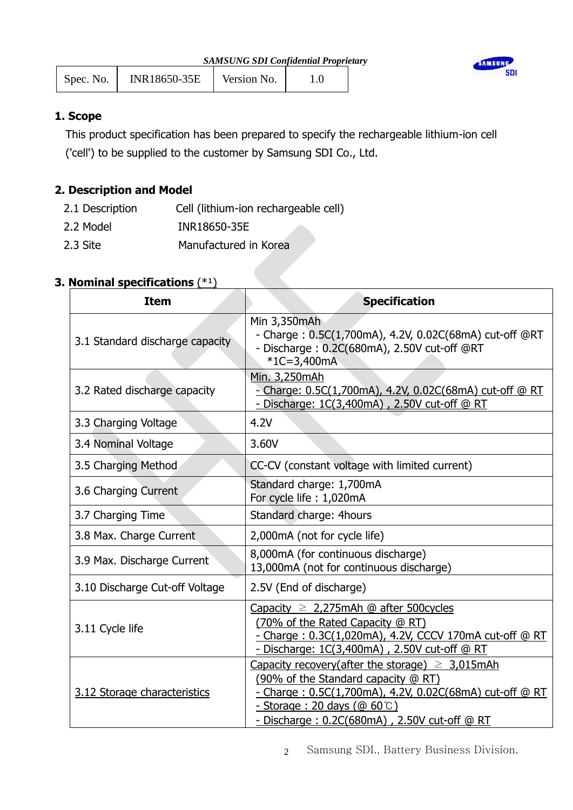| INR18650-35E<br>Spec. No. | Version No. |  |  |
|---------------------------|-------------|--|--|
|---------------------------|-------------|--|--|



# **1. Scope**

This product specification has been prepared to specify the rechargeable lithium-ion cell ('cell') to be supplied to the customer by Samsung SDI Co., Ltd.

# **2. Description and Model**

| 2.1 Description | Cell (lithium-ion rechargeable cell) |
|-----------------|--------------------------------------|
| 2.2 Model       | INR18650-35E                         |
| 2.3 Site        | Manufactured in Korea                |

# **3. Nominal specifications**  $(*1)$

| <b>Item</b>                     | <b>Specification</b>                                                                                                                                                                                                                          |
|---------------------------------|-----------------------------------------------------------------------------------------------------------------------------------------------------------------------------------------------------------------------------------------------|
| 3.1 Standard discharge capacity | Min 3,350mAh<br>- Charge: 0.5C(1,700mA), 4.2V, 0.02C(68mA) cut-off @RT<br>- Discharge: 0.2C(680mA), 2.50V cut-off @RT<br>$*1C = 3,400mA$                                                                                                      |
| 3.2 Rated discharge capacity    | Min. 3,250mAh<br>- Charge: 0.5C(1,700mA), 4.2V, 0.02C(68mA) cut-off @ RT<br>- Discharge: 1C(3,400mA), 2.50V cut-off @ RT                                                                                                                      |
| 3.3 Charging Voltage            | 4.2V                                                                                                                                                                                                                                          |
| 3.4 Nominal Voltage             | 3.60V                                                                                                                                                                                                                                         |
| 3.5 Charging Method             | CC-CV (constant voltage with limited current)                                                                                                                                                                                                 |
| 3.6 Charging Current            | Standard charge: 1,700mA<br>For cycle life: 1,020mA                                                                                                                                                                                           |
| 3.7 Charging Time               | Standard charge: 4hours                                                                                                                                                                                                                       |
| 3.8 Max. Charge Current         | 2,000mA (not for cycle life)                                                                                                                                                                                                                  |
| 3.9 Max. Discharge Current      | 8,000mA (for continuous discharge)<br>13,000mA (not for continuous discharge)                                                                                                                                                                 |
| 3.10 Discharge Cut-off Voltage  | 2.5V (End of discharge)                                                                                                                                                                                                                       |
| 3.11 Cycle life                 | Capacity $\geq 2.275$ mAh @ after 500 cycles<br>(70% of the Rated Capacity @ RT)<br>- Charge: 0.3C(1,020mA), 4.2V, CCCV 170mA cut-off @ RT<br>- Discharge: 1C(3,400mA), 2.50V cut-off @ RT                                                    |
| 3.12 Storage characteristics    | Capacity recovery(after the storage) $\geq 3.015$ mAh<br>(90% of the Standard capacity @ RT)<br>- Charge: 0.5C(1,700mA), 4.2V, 0.02C(68mA) cut-off @ RT<br><u>- Storage: 20 days (@ 60°C)</u><br>- Discharge: 0.2C(680mA), 2.50V cut-off @ RT |

2 Samsung SDI., Battery Business Division.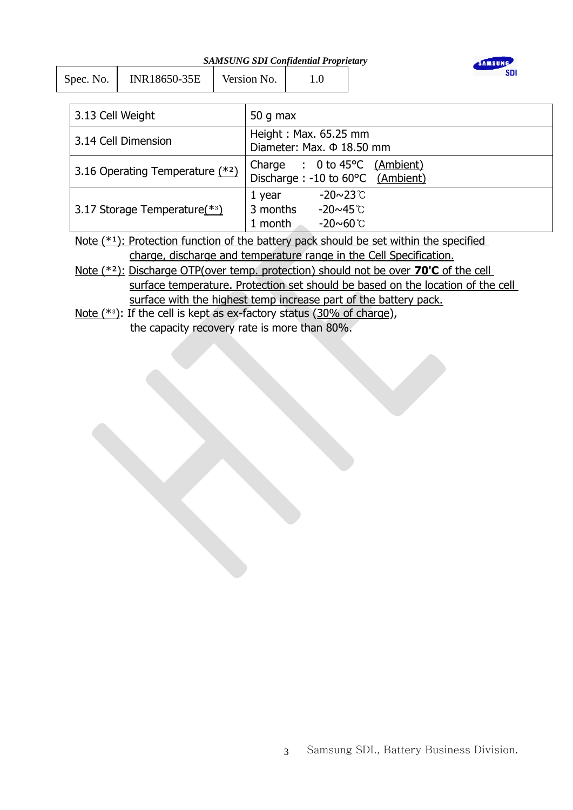| Spec. No. | INR18650-35E | Version No. |  |
|-----------|--------------|-------------|--|
|           |              |             |  |



| 3.13 Cell Weight                | 50 g max                                                                                         |
|---------------------------------|--------------------------------------------------------------------------------------------------|
| 3.14 Cell Dimension             | Height: Max. 65.25 mm<br>Diameter: Max. $\Phi$ 18.50 mm                                          |
| 3.16 Operating Temperature (*2) | Charge : 0 to 45°C (Ambient)<br>Discharge : -10 to 60°C (Ambient)                                |
| 3.17 Storage Temperature(*3)    | $-20 \sim 23$ $\degree$ C<br>1 year<br>3 months<br>$-20 \sim 45$ °C<br>$-20\sim60$ °C<br>1 month |

Note  $(*1)$ : Protection function of the battery pack should be set within the specified charge, discharge and temperature range in the Cell Specification.

Note (\*²): Discharge OTP(over temp. protection) should not be over **70'C** of the cell surface temperature. Protection set should be based on the location of the cell surface with the highest temp increase part of the battery pack.

Note  $(*3)$ : If the cell is kept as ex-factory status  $(30\% \text{ of } \text{charge})$ , the capacity recovery rate is more than 80%.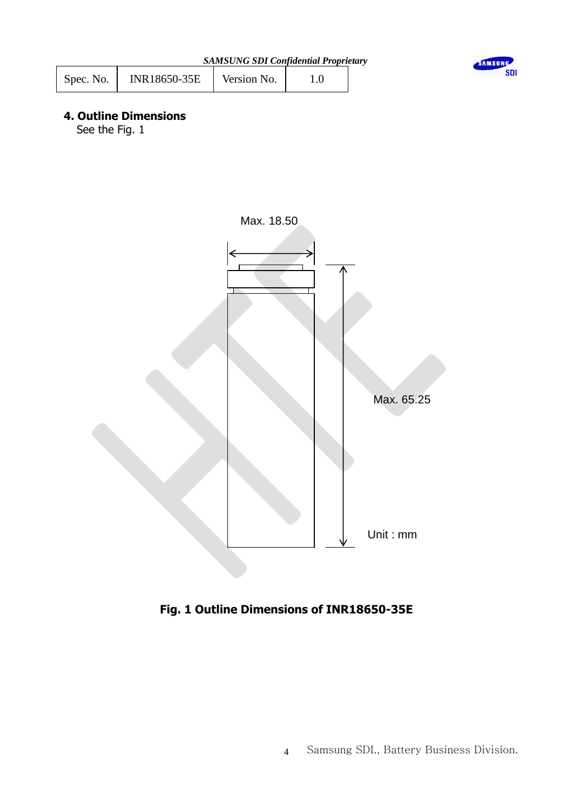| <b>SAMSUNG SDI Confidential Proprietary</b> |  |  |  |
|---------------------------------------------|--|--|--|
|                                             |  |  |  |





# **4. Outline Dimensions**

See the Fig. 1



 **Fig. 1 Outline Dimensions of INR18650-35E**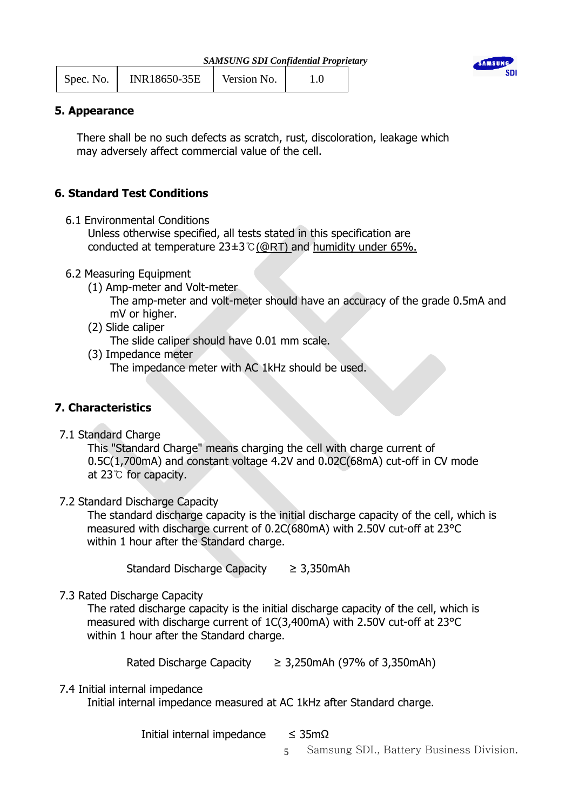| <b>SAMSUNG SDI Confidential Proprietary</b> |  |
|---------------------------------------------|--|
|                                             |  |

| Spec. No. | INR18650-35E | Version No. |  |
|-----------|--------------|-------------|--|
|           |              |             |  |



## **5. Appearance**

 There shall be no such defects as scratch, rust, discoloration, leakage which may adversely affect commercial value of the cell.

# **6. Standard Test Conditions**

6.1 Environmental Conditions

 Unless otherwise specified, all tests stated in this specification are conducted at temperature 23±3℃(@RT) and humidity under 65%.

## 6.2 Measuring Equipment

- (1) Amp-meter and Volt-meter
	- The amp-meter and volt-meter should have an accuracy of the grade 0.5mA and mV or higher.
- (2) Slide caliper

The slide caliper should have 0.01 mm scale.

 (3) Impedance meter The impedance meter with AC 1kHz should be used.

# **7. Characteristics**

7.1 Standard Charge

 This "Standard Charge" means charging the cell with charge current of 0.5C(1,700mA) and constant voltage 4.2V and 0.02C(68mA) cut-off in CV mode at 23℃ for capacity.

## 7.2 Standard Discharge Capacity

 The standard discharge capacity is the initial discharge capacity of the cell, which is measured with discharge current of 0.2C(680mA) with 2.50V cut-off at 23°C within 1 hour after the Standard charge.

Standard Discharge Capacity ≥ 3,350mAh

7.3 Rated Discharge Capacity

 The rated discharge capacity is the initial discharge capacity of the cell, which is measured with discharge current of 1C(3,400mA) with 2.50V cut-off at 23°C within 1 hour after the Standard charge.

Rated Discharge Capacity  $\geq 3,250$ mAh (97% of 3,350mAh)

7.4 Initial internal impedance

Initial internal impedance measured at AC 1kHz after Standard charge.

Initial internal impedance  $\leq 35 \text{m}\Omega$ 

5 Samsung SDI., Battery Business Division.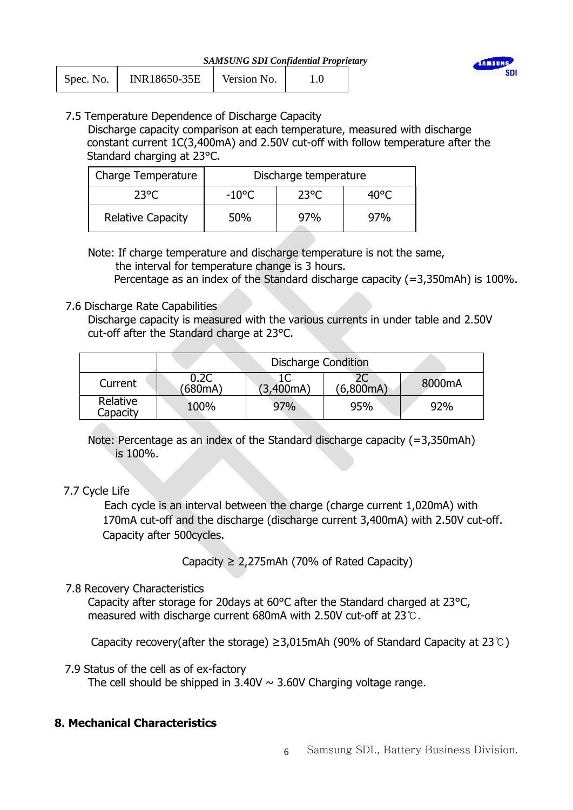| INR18650-35E<br>Spec. No. | Version No. |  |  |
|---------------------------|-------------|--|--|
|---------------------------|-------------|--|--|



# 7.5 Temperature Dependence of Discharge Capacity

 Discharge capacity comparison at each temperature, measured with discharge constant current 1C(3,400mA) and 2.50V cut-off with follow temperature after the Standard charging at 23°C.

| Charge Temperature       | Discharge temperature           |     |     |  |  |
|--------------------------|---------------------------------|-----|-----|--|--|
| 23°C                     | 23°C<br>$-10^{\circ}$ C<br>4በº୮ |     |     |  |  |
| <b>Relative Capacity</b> | 50%                             | 97% | 97% |  |  |

# Note: If charge temperature and discharge temperature is not the same, the interval for temperature change is 3 hours.

Percentage as an index of the Standard discharge capacity (=3,350mAh) is 100%.

## 7.6 Discharge Rate Capabilities

Discharge capacity is measured with the various currents in under table and 2.50V cut-off after the Standard charge at 23°C.

|                      | <b>Discharge Condition</b> |           |                 |        |  |  |
|----------------------|----------------------------|-----------|-----------------|--------|--|--|
| Current              | 0.2C<br>(680mA)            | (3,400mA) | 2C<br>(6,800mA) | 8000mA |  |  |
| Relative<br>Capacity | 100%                       | 97%       | 95%             | 92%    |  |  |

Note: Percentage as an index of the Standard discharge capacity (=3,350mAh) is 100%.

# 7.7 Cycle Life

 Each cycle is an interval between the charge (charge current 1,020mA) with 170mA cut-off and the discharge (discharge current 3,400mA) with 2.50V cut-off. Capacity after 500cycles.

Capacity  $\geq 2,275$ mAh (70% of Rated Capacity)

# 7.8 Recovery Characteristics

 Capacity after storage for 20days at 60°C after the Standard charged at 23°C, measured with discharge current 680mA with 2.50V cut-off at 23℃.

Capacity recovery(after the storage) ≥3,015mAh (90% of Standard Capacity at 23℃)

7.9 Status of the cell as of ex-factory

The cell should be shipped in  $3.40V \sim 3.60V$  Charging voltage range.

# **8. Mechanical Characteristics**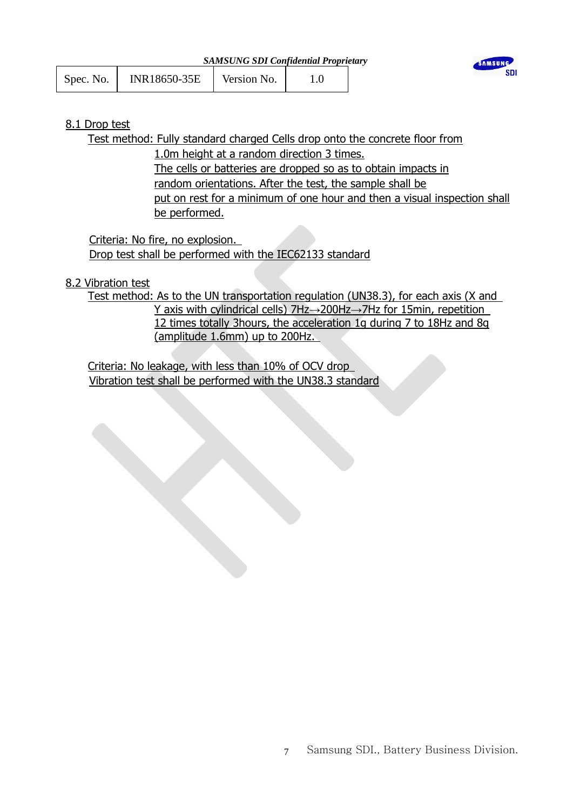|           |              | SAMSUNG SDI Confidential Proprietary |  |
|-----------|--------------|--------------------------------------|--|
| Spec. No. | INR18650-35E | Version No.                          |  |



## 8.1 Drop test

Test method: Fully standard charged Cells drop onto the concrete floor from

*SAMSUNG SDI Confidential Proprietary*

1.0m height at a random direction 3 times. The cells or batteries are dropped so as to obtain impacts in random orientations. After the test, the sample shall be put on rest for a minimum of one hour and then a visual inspection shall be performed.

Criteria: No fire, no explosion. Drop test shall be performed with the IEC62133 standard

## 8.2 Vibration test

Test method: As to the UN transportation regulation (UN38.3), for each axis (X and Y axis with cylindrical cells) 7Hz→200Hz→7Hz for 15min, repetition 12 times totally 3hours, the acceleration 1g during 7 to 18Hz and 8g (amplitude 1.6mm) up to 200Hz.

Criteria: No leakage, with less than 10% of OCV drop Vibration test shall be performed with the UN38.3 standard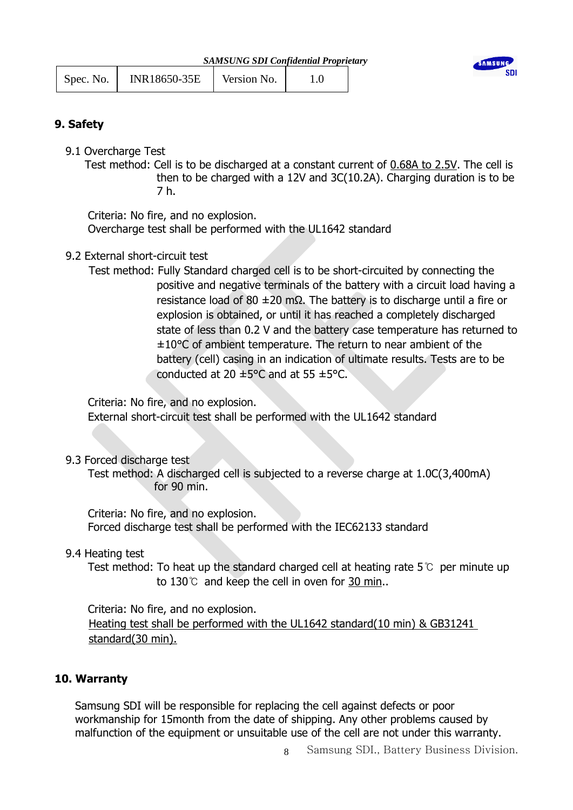| Spec. No. | <b>INR18650-35E</b> | Version No. |  |
|-----------|---------------------|-------------|--|
|           |                     |             |  |



## **9. Safety**

9.1 Overcharge Test

Test method: Cell is to be discharged at a constant current of 0.68A to 2.5V. The cell is then to be charged with a 12V and 3C(10.2A). Charging duration is to be 7 h.

 Criteria: No fire, and no explosion. Overcharge test shall be performed with the UL1642 standard

## 9.2 External short-circuit test

Test method: Fully Standard charged cell is to be short-circuited by connecting the positive and negative terminals of the battery with a circuit load having a resistance load of 80 ±20 mΩ. The battery is to discharge until a fire or explosion is obtained, or until it has reached a completely discharged state of less than 0.2 V and the battery case temperature has returned to ± 10°C of ambient temperature. The return to near ambient of the battery (cell) casing in an indication of ultimate results. Tests are to be conducted at 20  $\pm$  5°C and at 55  $\pm$  5°C.

Criteria: No fire, and no explosion.

External short-circuit test shall be performed with the UL1642 standard

## 9.3 Forced discharge test

Test method: A discharged cell is subjected to a reverse charge at 1.0C(3,400mA) for 90 min.

 Criteria: No fire, and no explosion. Forced discharge test shall be performed with the IEC62133 standard

## 9.4 Heating test

 Test method: To heat up the standard charged cell at heating rate 5℃ per minute up to 130 $\degree$  and keep the cell in oven for 30 min..

Criteria: No fire, and no explosion. Heating test shall be performed with the UL1642 standard(10 min) & GB31241 standard(30 min).

## **10. Warranty**

Samsung SDI will be responsible for replacing the cell against defects or poor workmanship for 15month from the date of shipping. Any other problems caused by malfunction of the equipment or unsuitable use of the cell are not under this warranty.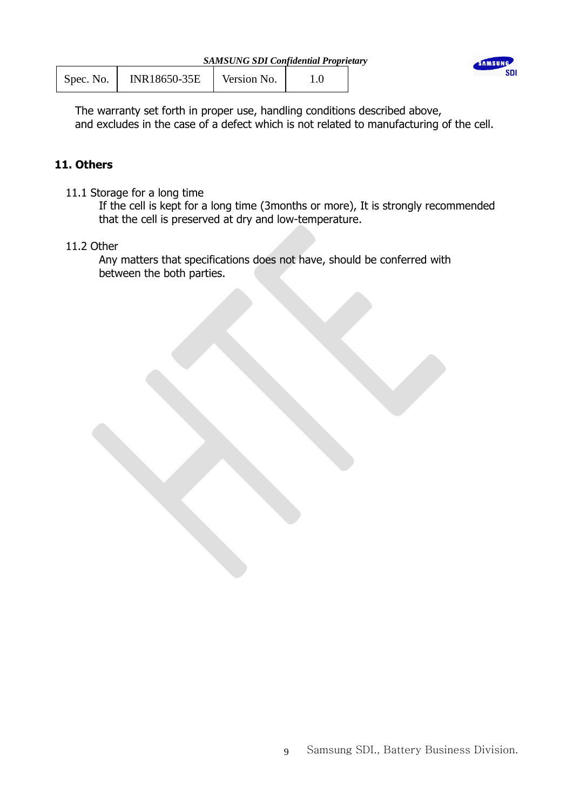| Spec. No. | INR18650-35E | Version No. |  |
|-----------|--------------|-------------|--|
|           |              |             |  |



The warranty set forth in proper use, handling conditions described above, and excludes in the case of a defect which is not related to manufacturing of the cell.

# **11. Others**

11.1 Storage for a long time

 If the cell is kept for a long time (3months or more), It is strongly recommended that the cell is preserved at dry and low-temperature.

## 11.2 Other

 Any matters that specifications does not have, should be conferred with between the both parties.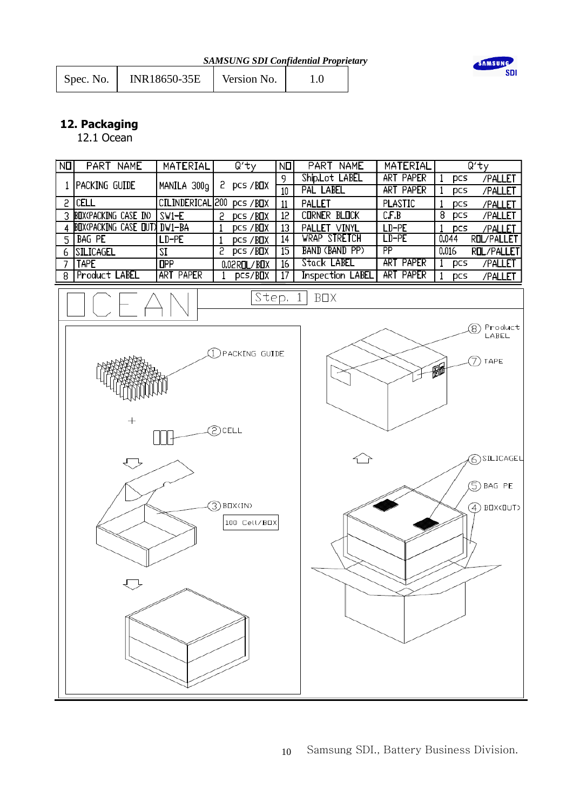| Spec. No. | INR18650-35E | Version No. |  |
|-----------|--------------|-------------|--|
|           |              |             |  |



# **12. Packaging**

12.1 Ocean

| NO             | PART NAME                      | MATERIAL        | Qʻty                                                                                   | NП              | PART NAME               | MATERIAL        |                     | Qʻty                                                                                  |
|----------------|--------------------------------|-----------------|----------------------------------------------------------------------------------------|-----------------|-------------------------|-----------------|---------------------|---------------------------------------------------------------------------------------|
|                |                                |                 |                                                                                        | 9               | Ship Lot LABEL          | ART PAPER       | pcs<br>1            | /PALLET                                                                               |
|                | 1 PACKING GUIDE                | MANILA 300g     | 2 pcs/BOX                                                                              | 10              | PAL LABEL               | ART PAPER       | pcs<br>1            | /PALLET                                                                               |
|                | $2$ $ CELL$                    |                 | CILINDERICAL 200 pcs / BOX                                                             | 11              | PALLET                  | <b>PLASTIC</b>  | pcs<br>-1           | /PALLET                                                                               |
|                | 3 BOX(PACKING CASE IN)         | $SW1-E$         | 5<br><b>pcs/BOX</b>                                                                    | 12              | <b>CORNER BLOCK</b>     | C.F.B           | 8<br>pcs            | /PALLET                                                                               |
|                | 4 BUX(PACKING CASE OUT) DW1-BA |                 | <b>pcs/BOX</b>                                                                         | 13              | PALLET VINYL            | $LD-PE$         | $\mathbf{1}$<br>pcs | /PALLET                                                                               |
|                | $5$ $BAG$ PE                   | $LD-PE$         | $\mathbf{1}$<br><b>PCS/BOX</b>                                                         | 14              | <b>WRAP STRETCH</b>     | $LD-PE$         | 0.044               | <b>ROL/PALLET</b>                                                                     |
|                | 6 SILICAGEL                    | SI              | 5<br><b>pcs /BOX</b>                                                                   | 15              | <b>BAND (BAND PP)</b>   | $\overline{PP}$ | 0.016               | <b>ROL/PALLET</b>                                                                     |
| $\overline{7}$ | <b>TAPE</b>                    | $_{\text{HPP}}$ | $0.02$ ROL/BOX                                                                         | $\overline{16}$ | Stack LABEL             | ART PAPER       | 1<br>pcs            | /PALLET                                                                               |
| 8              | Product LABEL                  | ART PAPER       | pcs/BOX<br>1                                                                           | 17              | <b>Inspection LABEL</b> | ART PAPER       | 1<br>pcs            | /PALLET                                                                               |
|                | $+$<br>▽<br>ᅲ                  |                 | Step.<br>PACKING GUIDE<br>ව) CELL<br>$\mathcal{L}(\mathbb{R})$ BOX(IN)<br>100 Cell/BOX |                 | BOX<br>1                |                 | 丽                   | Product<br>8)<br>LABEL<br>TAPE<br>7)<br>6) SILICAGEL<br>BAG PE<br>⑤<br>$(4)$ BOX(OUT) |
|                |                                |                 |                                                                                        |                 |                         |                 |                     |                                                                                       |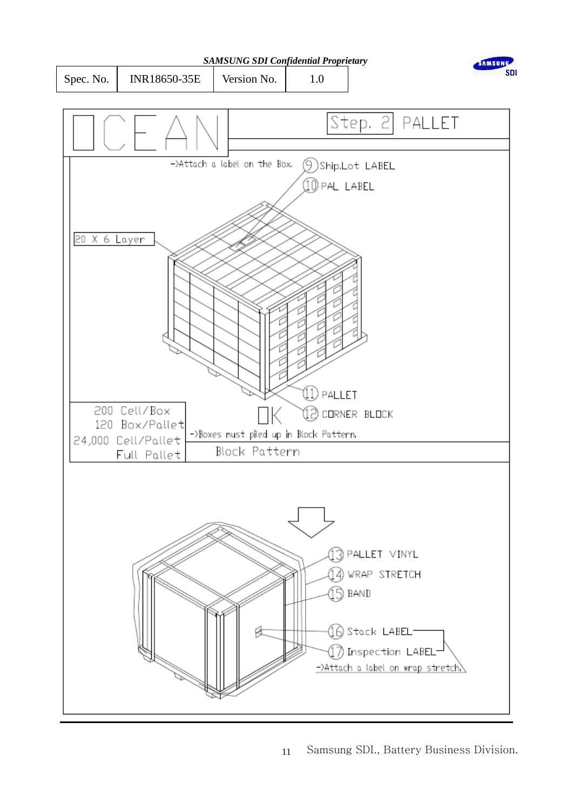

11 Samsung SDI., Battery Business Division.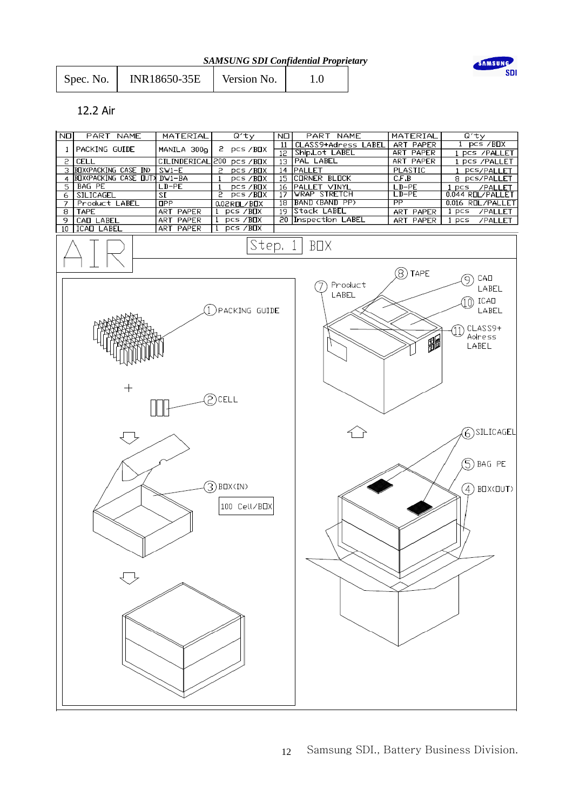| <b>SAMSUNG SDI Confidential Proprietary</b> |  |  |  |  |  |
|---------------------------------------------|--|--|--|--|--|
|---------------------------------------------|--|--|--|--|--|

| INR18650-35E<br>Spec. No. | Version No. |  |
|---------------------------|-------------|--|
|---------------------------|-------------|--|



#### 12.2 Air

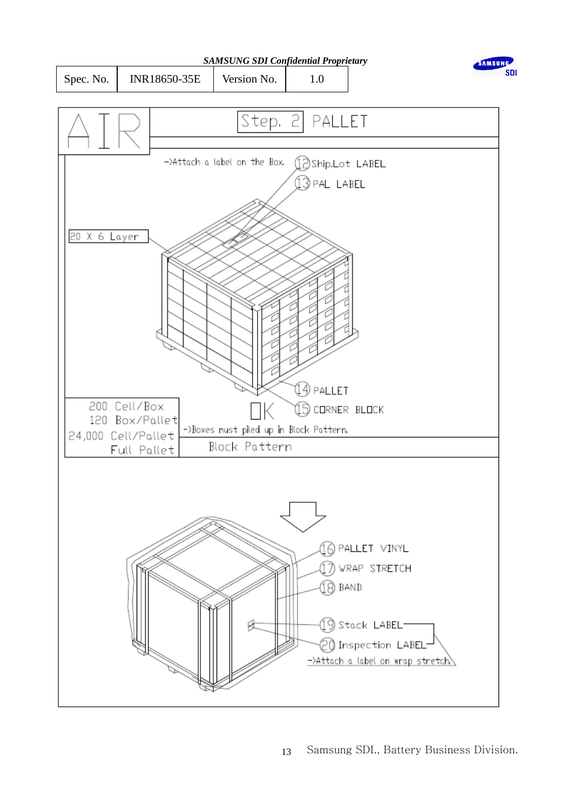

Spec. No. | INR18650-35E | Version No. | 1.0



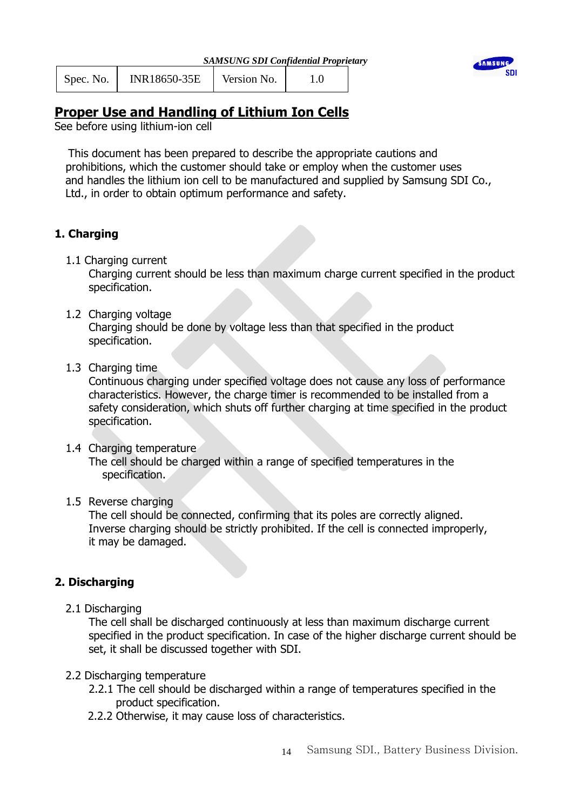| Spec. No. | INR18650-35E | Version No. |  |
|-----------|--------------|-------------|--|
|           |              |             |  |



# **Proper Use and Handling of Lithium Ion Cells**

See before using lithium-ion cell

This document has been prepared to describe the appropriate cautions and prohibitions, which the customer should take or employ when the customer uses and handles the lithium ion cell to be manufactured and supplied by Samsung SDI Co., Ltd., in order to obtain optimum performance and safety.

# **1. Charging**

1.1 Charging current

Charging current should be less than maximum charge current specified in the product specification.

## 1.2 Charging voltage

Charging should be done by voltage less than that specified in the product specification.

1.3 Charging time

Continuous charging under specified voltage does not cause any loss of performance characteristics. However, the charge timer is recommended to be installed from a safety consideration, which shuts off further charging at time specified in the product specification.

## 1.4 Charging temperature

The cell should be charged within a range of specified temperatures in the specification.

## 1.5 Reverse charging

The cell should be connected, confirming that its poles are correctly aligned. Inverse charging should be strictly prohibited. If the cell is connected improperly, it may be damaged.

## **2. Discharging**

2.1 Discharging

The cell shall be discharged continuously at less than maximum discharge current specified in the product specification. In case of the higher discharge current should be set, it shall be discussed together with SDI.

- 2.2 Discharging temperature
	- 2.2.1 The cell should be discharged within a range of temperatures specified in the product specification.
	- 2.2.2 Otherwise, it may cause loss of characteristics.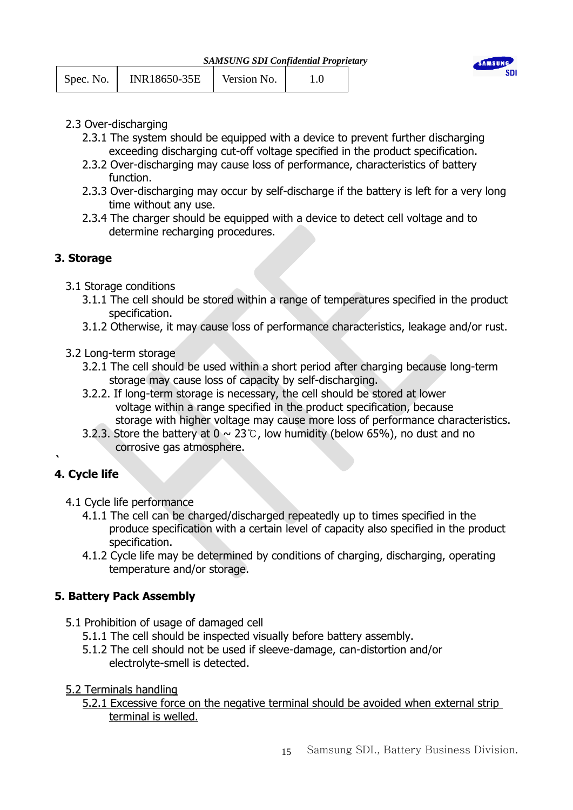| Spec. No. | <b>INR18650-35E</b> | Version No. |  |
|-----------|---------------------|-------------|--|
|           |                     |             |  |



- 2.3 Over-discharging
	- 2.3.1 The system should be equipped with a device to prevent further discharging exceeding discharging cut-off voltage specified in the product specification.
	- 2.3.2 Over-discharging may cause loss of performance, characteristics of battery function.
	- 2.3.3 Over-discharging may occur by self-discharge if the battery is left for a very long time without any use.
	- 2.3.4 The charger should be equipped with a device to detect cell voltage and to determine recharging procedures.

# **3. Storage**

- 3.1 Storage conditions
	- 3.1.1 The cell should be stored within a range of temperatures specified in the product specification.
	- 3.1.2 Otherwise, it may cause loss of performance characteristics, leakage and/or rust.
- 3.2 Long-term storage
	- 3.2.1 The cell should be used within a short period after charging because long-term storage may cause loss of capacity by self-discharging.
	- 3.2.2. If long-term storage is necessary, the cell should be stored at lower voltage within a range specified in the product specification, because storage with higher voltage may cause more loss of performance characteristics.
	- 3.2.3. Store the battery at  $0 \sim 23$ °C, low humidity (below 65%), no dust and no corrosive gas atmosphere.

# **4. Cycle life**

**`**

- 4.1 Cycle life performance
	- 4.1.1 The cell can be charged/discharged repeatedly up to times specified in the produce specification with a certain level of capacity also specified in the product specification.
	- 4.1.2 Cycle life may be determined by conditions of charging, discharging, operating temperature and/or storage.

# **5. Battery Pack Assembly**

- 5.1 Prohibition of usage of damaged cell
	- 5.1.1 The cell should be inspected visually before battery assembly.
	- 5.1.2 The cell should not be used if sleeve-damage, can-distortion and/or electrolyte-smell is detected.
- 5.2 Terminals handling

5.2.1 Excessive force on the negative terminal should be avoided when external strip terminal is welled.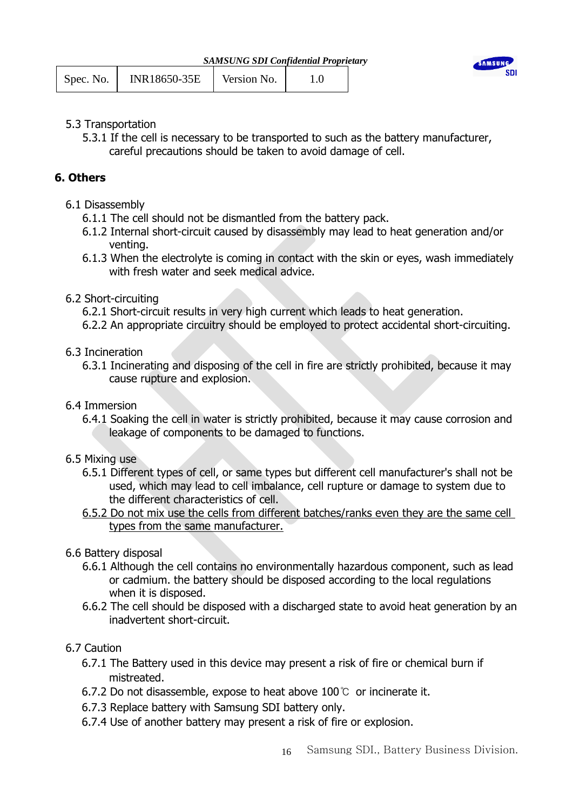| <b>SAMSUNG SDI Confidential Proprietary</b> |
|---------------------------------------------|
|---------------------------------------------|

| INR18650-35E<br>Spec. No. | Version No. |  |
|---------------------------|-------------|--|
|---------------------------|-------------|--|



## 5.3 Transportation

5.3.1 If the cell is necessary to be transported to such as the battery manufacturer, careful precautions should be taken to avoid damage of cell.

# **6. Others**

- 6.1 Disassembly
	- 6.1.1 The cell should not be dismantled from the battery pack.
	- 6.1.2 Internal short-circuit caused by disassembly may lead to heat generation and/or venting.
	- 6.1.3 When the electrolyte is coming in contact with the skin or eyes, wash immediately with fresh water and seek medical advice.

## 6.2 Short-circuiting

- 6.2.1 Short-circuit results in very high current which leads to heat generation.
- 6.2.2 An appropriate circuitry should be employed to protect accidental short-circuiting.
- 6.3 Incineration
	- 6.3.1 Incinerating and disposing of the cell in fire are strictly prohibited, because it may cause rupture and explosion.
- 6.4 Immersion
	- 6.4.1 Soaking the cell in water is strictly prohibited, because it may cause corrosion and leakage of components to be damaged to functions.
- 6.5 Mixing use
	- 6.5.1 Different types of cell, or same types but different cell manufacturer's shall not be used, which may lead to cell imbalance, cell rupture or damage to system due to the different characteristics of cell.
	- 6.5.2 Do not mix use the cells from different batches/ranks even they are the same cell types from the same manufacturer.
- 6.6 Battery disposal
	- 6.6.1 Although the cell contains no environmentally hazardous component, such as lead or cadmium. the battery should be disposed according to the local regulations when it is disposed.
	- 6.6.2 The cell should be disposed with a discharged state to avoid heat generation by an inadvertent short-circuit.

# 6.7 Caution

- 6.7.1 The Battery used in this device may present a risk of fire or chemical burn if mistreated.
- 6.7.2 Do not disassemble, expose to heat above 100℃ or incinerate it.
- 6.7.3 Replace battery with Samsung SDI battery only.
- 6.7.4 Use of another battery may present a risk of fire or explosion.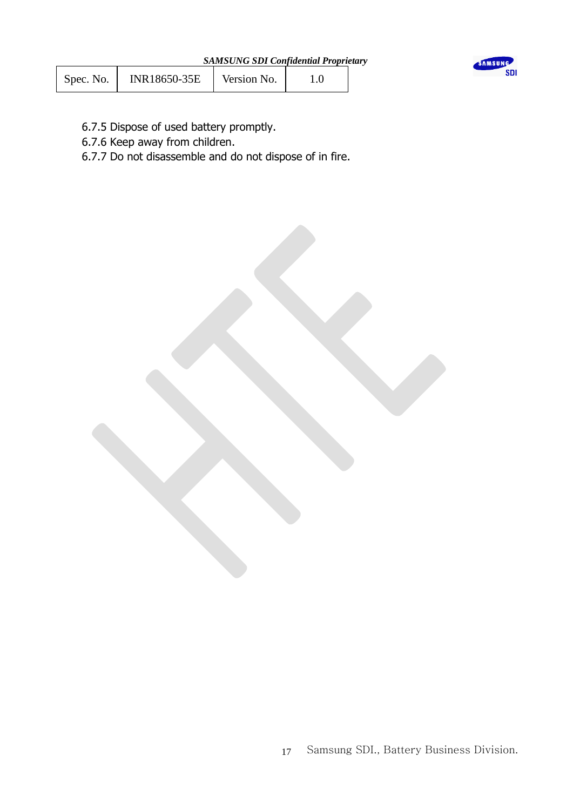| Spec. No. | INR18650-35E | Version No. |  |
|-----------|--------------|-------------|--|
|-----------|--------------|-------------|--|



- 6.7.5 Dispose of used battery promptly.
- 6.7.6 Keep away from children.
- 6.7.7 Do not disassemble and do not dispose of in fire.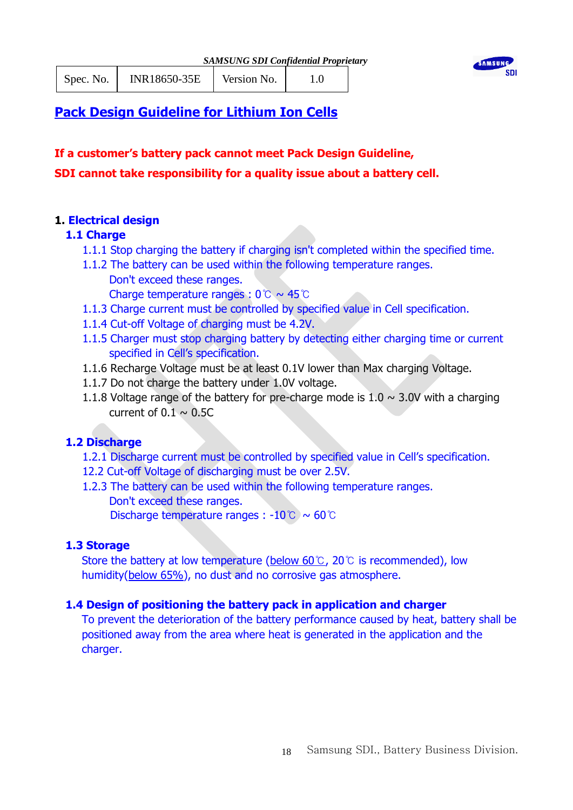

Spec. No. | INR18650-35E | Version No. | 1.0



# **Pack Design Guideline for Lithium Ion Cells**

**If a customer's battery pack cannot meet Pack Design Guideline, SDI cannot take responsibility for a quality issue about a battery cell.**

# **1. Electrical design**

# **1.1 Charge**

- 1.1.1 Stop charging the battery if charging isn't completed within the specified time.
- 1.1.2 The battery can be used within the following temperature ranges. Don't exceed these ranges.

Charge temperature ranges : 0℃ ~ 45℃

- 1.1.3 Charge current must be controlled by specified value in Cell specification.
- 1.1.4 Cut-off Voltage of charging must be 4.2V.
- 1.1.5 Charger must stop charging battery by detecting either charging time or current specified in Cell's specification.
- 1.1.6 Recharge Voltage must be at least 0.1V lower than Max charging Voltage.
- 1.1.7 Do not charge the battery under 1.0V voltage.
- 1.1.8 Voltage range of the battery for pre-charge mode is  $1.0 \sim 3.0$ V with a charging current of  $0.1 \sim 0.5C$

# **1.2 Discharge**

- 1.2.1 Discharge current must be controlled by specified value in Cell's specification.
- 12.2 Cut-off Voltage of discharging must be over 2.5V.
- 1.2.3 The battery can be used within the following temperature ranges. Don't exceed these ranges. Discharge temperature ranges : -10℃ ~ 60℃

# **1.3 Storage**

Store the battery at low temperature (below 60℃, 20℃ is recommended), low humidity(below 65%), no dust and no corrosive gas atmosphere.

# **1.4 Design of positioning the battery pack in application and charger**

To prevent the deterioration of the battery performance caused by heat, battery shall be positioned away from the area where heat is generated in the application and the charger.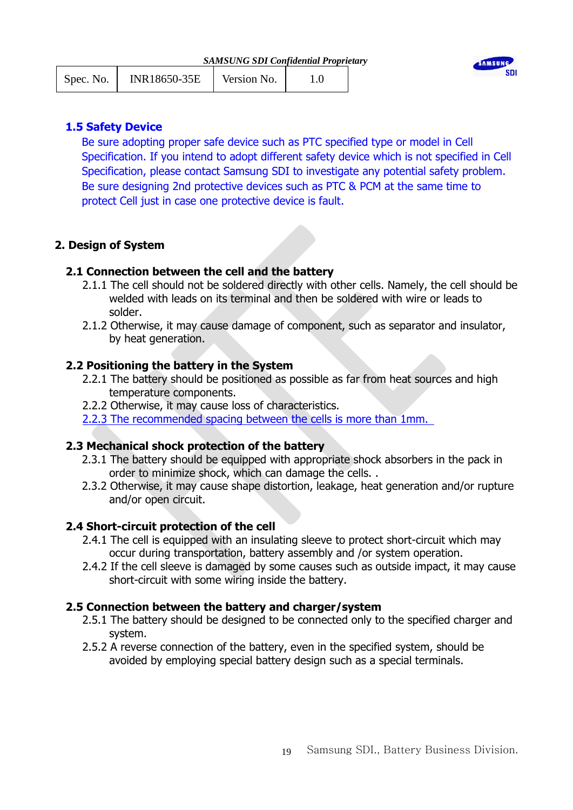| Spec. No. | INR18650-35E | Version No. |  |  |
|-----------|--------------|-------------|--|--|
|-----------|--------------|-------------|--|--|



## **1.5 Safety Device**

Be sure adopting proper safe device such as PTC specified type or model in Cell Specification. If you intend to adopt different safety device which is not specified in Cell Specification, please contact Samsung SDI to investigate any potential safety problem. Be sure designing 2nd protective devices such as PTC & PCM at the same time to protect Cell just in case one protective device is fault.

# **2. Design of System**

## **2.1 Connection between the cell and the battery**

- 2.1.1 The cell should not be soldered directly with other cells. Namely, the cell should be welded with leads on its terminal and then be soldered with wire or leads to solder.
- 2.1.2 Otherwise, it may cause damage of component, such as separator and insulator, by heat generation.

## **2.2 Positioning the battery in the System**

- 2.2.1 The battery should be positioned as possible as far from heat sources and high temperature components.
- 2.2.2 Otherwise, it may cause loss of characteristics.
- 2.2.3 The recommended spacing between the cells is more than 1mm.

## **2.3 Mechanical shock protection of the battery**

- 2.3.1 The battery should be equipped with appropriate shock absorbers in the pack in order to minimize shock, which can damage the cells. .
- 2.3.2 Otherwise, it may cause shape distortion, leakage, heat generation and/or rupture and/or open circuit.

## **2.4 Short-circuit protection of the cell**

- 2.4.1 The cell is equipped with an insulating sleeve to protect short-circuit which may occur during transportation, battery assembly and /or system operation.
- 2.4.2 If the cell sleeve is damaged by some causes such as outside impact, it may cause short-circuit with some wiring inside the battery.

## **2.5 Connection between the battery and charger/system**

- 2.5.1 The battery should be designed to be connected only to the specified charger and system.
- 2.5.2 A reverse connection of the battery, even in the specified system, should be avoided by employing special battery design such as a special terminals.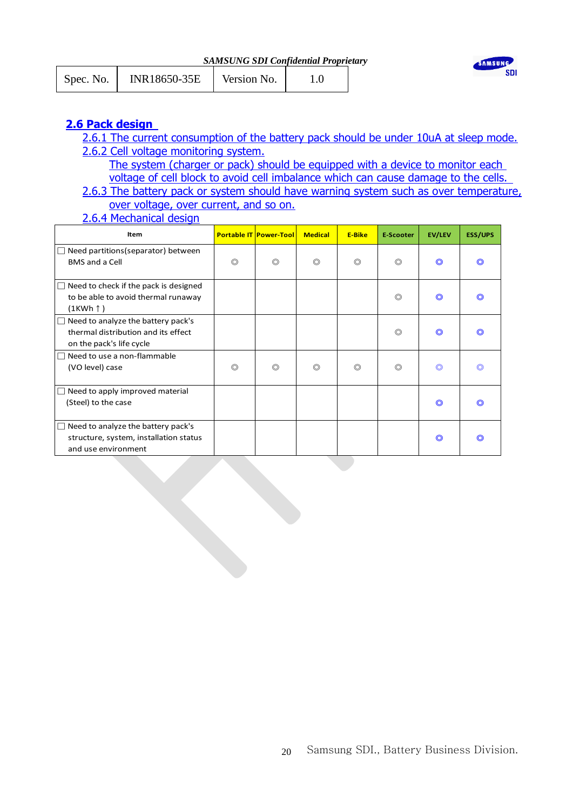*SAMSUNG SDI Confidential Proprietary*

| Spec. No. | INR18650-35E | Version No. |  |  |
|-----------|--------------|-------------|--|--|
|-----------|--------------|-------------|--|--|



# **2.6 Pack design**

- 2.6.1 The current consumption of the battery pack should be under 10uA at sleep mode. 2.6.2 Cell voltage monitoring system.
	- The system (charger or pack) should be equipped with a device to monitor each voltage of cell block to avoid cell imbalance which can cause damage to the cells.
- 2.6.3 The battery pack or system should have warning system such as over temperature, over voltage, over current, and so on.
- 2.6.4 Mechanical design

| Item                                                                                                          |                | <b>Portable IT Power-Tool</b> | <b>Medical</b> | <b>E-Bike</b>  | <b>E-Scooter</b> | <b>EV/LEV</b> | <b>ESS/UPS</b> |
|---------------------------------------------------------------------------------------------------------------|----------------|-------------------------------|----------------|----------------|------------------|---------------|----------------|
| Need partitions (separator) between<br>$\Box$<br><b>BMS</b> and a Cell                                        | $\circledcirc$ | $\circledcirc$                | $\circledcirc$ | $\circledcirc$ | ◎                | O             | $\circledcirc$ |
| Need to check if the pack is designed<br>$\Box$<br>to be able to avoid thermal runaway<br>$(1KWh \uparrow)$   |                |                               |                |                | $\circledcirc$   | $\odot$       | റ              |
| Need to analyze the battery pack's<br>П<br>thermal distribution and its effect<br>on the pack's life cycle    |                |                               |                |                | $\circledcirc$   | $\odot$       | O              |
| Need to use a non-flammable<br>$\Box$<br>(VO level) case                                                      | $\circledcirc$ | $\circledcirc$                | ◎              | $\circledcirc$ | ◎                | O             | ⊚              |
| Need to apply improved material<br>$\Box$<br>(Steel) to the case                                              |                |                               |                |                |                  | O             | $\circledcirc$ |
| Need to analyze the battery pack's<br>$\Box$<br>structure, system, installation status<br>and use environment |                |                               |                |                |                  | O             |                |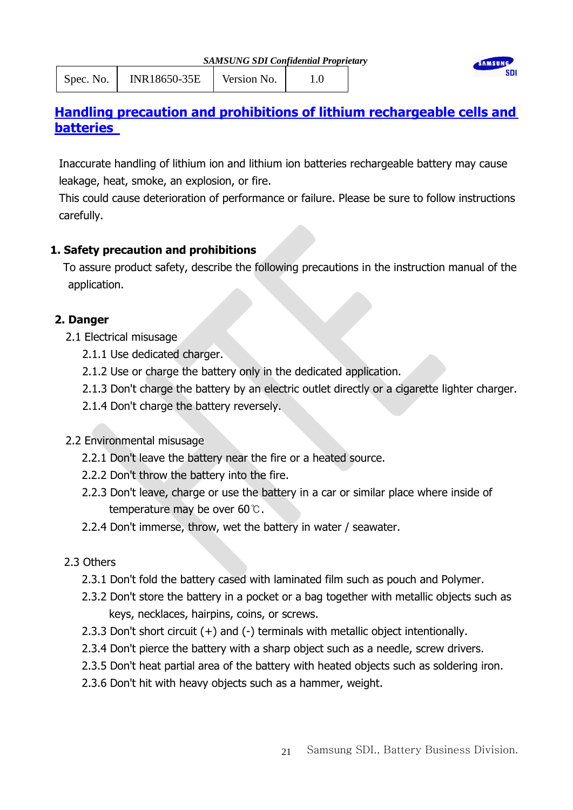| <b>SAMSUNG SDI Confidential Proprietary</b> |  |  |  |
|---------------------------------------------|--|--|--|
|                                             |  |  |  |





# **Handling precaution and prohibitions of lithium rechargeable cells and batteries**

Inaccurate handling of lithium ion and lithium ion batteries rechargeable battery may cause leakage, heat, smoke, an explosion, or fire.

This could cause deterioration of performance or failure. Please be sure to follow instructions carefully.

# **1. Safety precaution and prohibitions**

To assure product safety, describe the following precautions in the instruction manual of the application.

# **2. Danger**

- 2.1 Electrical misusage
	- 2.1.1 Use dedicated charger.
	- 2.1.2 Use or charge the battery only in the dedicated application.
	- 2.1.3 Don't charge the battery by an electric outlet directly or a cigarette lighter charger.
	- 2.1.4 Don't charge the battery reversely.

# 2.2 Environmental misusage

- 2.2.1 Don't leave the battery near the fire or a heated source.
- 2.2.2 Don't throw the battery into the fire.
- 2.2.3 Don't leave, charge or use the battery in a car or similar place where inside of temperature may be over 60℃.
- 2.2.4 Don't immerse, throw, wet the battery in water / seawater.

# 2.3 Others

- 2.3.1 Don't fold the battery cased with laminated film such as pouch and Polymer.
- 2.3.2 Don't store the battery in a pocket or a bag together with metallic objects such as keys, necklaces, hairpins, coins, or screws.
- 2.3.3 Don't short circuit (+) and (-) terminals with metallic object intentionally.
- 2.3.4 Don't pierce the battery with a sharp object such as a needle, screw drivers.
- 2.3.5 Don't heat partial area of the battery with heated objects such as soldering iron.
- 2.3.6 Don't hit with heavy objects such as a hammer, weight.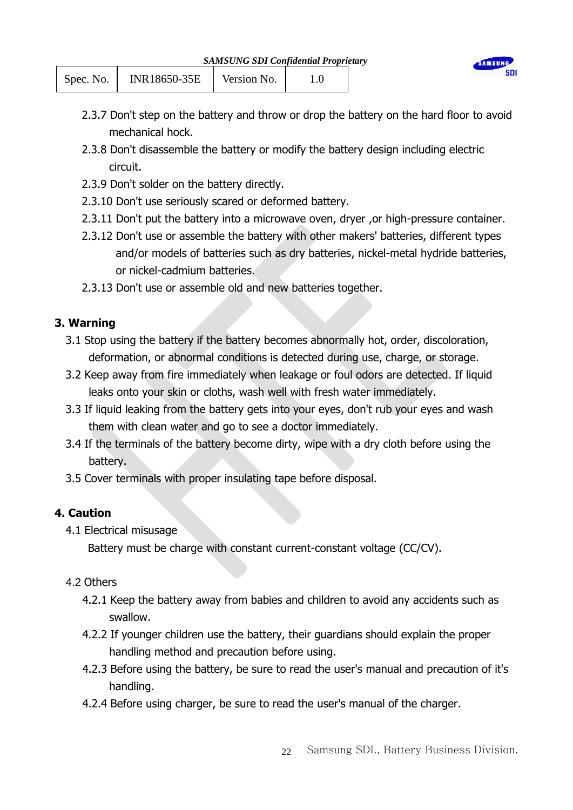| <b>SAMSUNG SDI Confidential Proprietary</b> |  |  |
|---------------------------------------------|--|--|
|                                             |  |  |

| Spec. No. | INR18650-35E | Version No. |  |
|-----------|--------------|-------------|--|
|           |              |             |  |



- 2.3.7 Don't step on the battery and throw or drop the battery on the hard floor to avoid mechanical hock.
- 2.3.8 Don't disassemble the battery or modify the battery design including electric circuit.
- 2.3.9 Don't solder on the battery directly.
- 2.3.10 Don't use seriously scared or deformed battery.
- 2.3.11 Don't put the battery into a microwave oven, dryer, or high-pressure container.
- 2.3.12 Don't use or assemble the battery with other makers' batteries, different types and/or models of batteries such as dry batteries, nickel-metal hydride batteries, or nickel-cadmium batteries.
- 2.3.13 Don't use or assemble old and new batteries together.

## **3. Warning**

- 3.1 Stop using the battery if the battery becomes abnormally hot, order, discoloration, deformation, or abnormal conditions is detected during use, charge, or storage.
- 3.2 Keep away from fire immediately when leakage or foul odors are detected. If liquid leaks onto your skin or cloths, wash well with fresh water immediately.
- 3.3 If liquid leaking from the battery gets into your eyes, don't rub your eyes and wash them with clean water and go to see a doctor immediately.
- 3.4 If the terminals of the battery become dirty, wipe with a dry cloth before using the battery.
- 3.5 Cover terminals with proper insulating tape before disposal.

# **4. Caution**

4.1 Electrical misusage

Battery must be charge with constant current-constant voltage (CC/CV).

## 4.2 Others

- 4.2.1 Keep the battery away from babies and children to avoid any accidents such as swallow.
- 4.2.2 If younger children use the battery, their guardians should explain the proper handling method and precaution before using.
- 4.2.3 Before using the battery, be sure to read the user's manual and precaution of it's handling.
- 4.2.4 Before using charger, be sure to read the user's manual of the charger.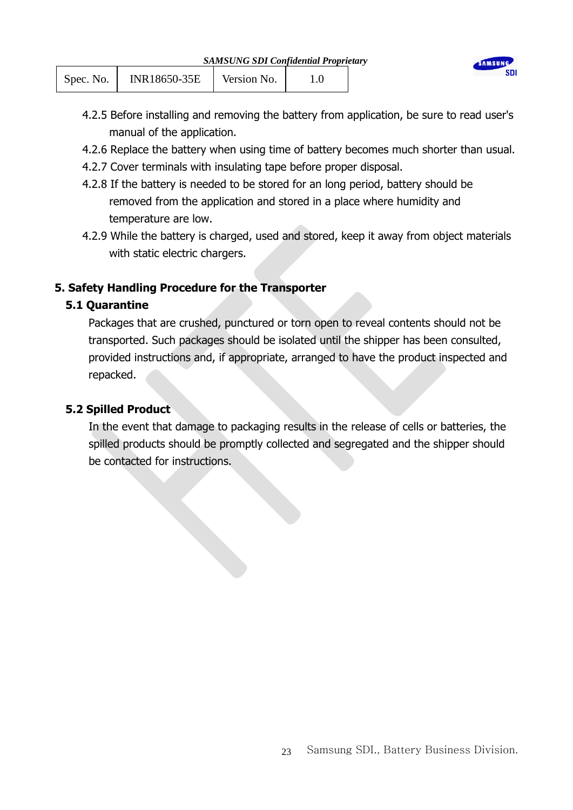| Spec. No. | INR18650-35E | Version No. |  |
|-----------|--------------|-------------|--|
|           |              |             |  |

- 4.2.5 Before installing and removing the battery from application, be sure to read user's manual of the application.
- 4.2.6 Replace the battery when using time of battery becomes much shorter than usual.
- 4.2.7 Cover terminals with insulating tape before proper disposal.
- 4.2.8 If the battery is needed to be stored for an long period, battery should be removed from the application and stored in a place where humidity and temperature are low.
- 4.2.9 While the battery is charged, used and stored, keep it away from object materials with static electric chargers.

# **5. Safety Handling Procedure for the Transporter**

# **5.1 Quarantine**

Packages that are crushed, punctured or torn open to reveal contents should not be transported. Such packages should be isolated until the shipper has been consulted, provided instructions and, if appropriate, arranged to have the product inspected and repacked.

# **5.2 Spilled Product**

In the event that damage to packaging results in the release of cells or batteries, the spilled products should be promptly collected and segregated and the shipper should be contacted for instructions.